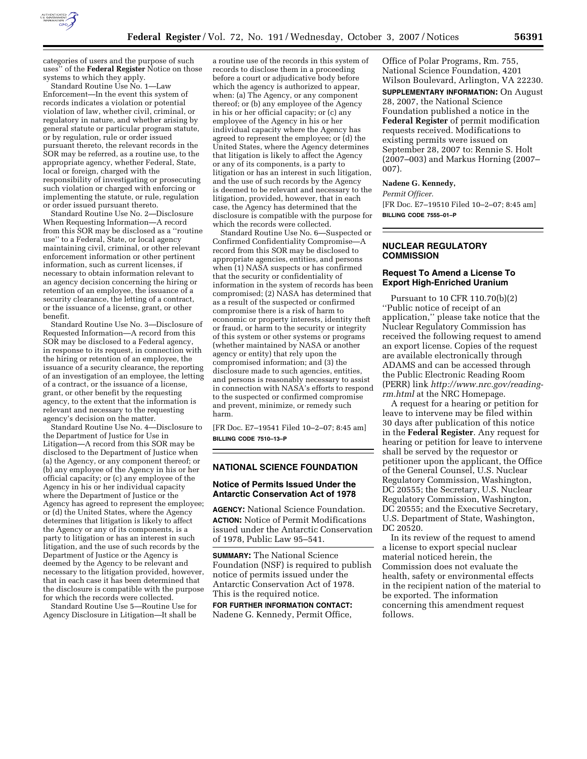

categories of users and the purpose of such uses'' of the **Federal Register** Notice on those systems to which they apply.

Standard Routine Use No. 1—Law Enforcement—In the event this system of records indicates a violation or potential violation of law, whether civil, criminal, or regulatory in nature, and whether arising by general statute or particular program statute, or by regulation, rule or order issued pursuant thereto, the relevant records in the SOR may be referred, as a routine use, to the appropriate agency, whether Federal, State, local or foreign, charged with the responsibility of investigating or prosecuting such violation or charged with enforcing or implementing the statute, or rule, regulation or order issued pursuant thereto.

Standard Routine Use No. 2—Disclosure When Requesting Information—A record from this SOR may be disclosed as a ''routine use'' to a Federal, State, or local agency maintaining civil, criminal, or other relevant enforcement information or other pertinent information, such as current licenses, if necessary to obtain information relevant to an agency decision concerning the hiring or retention of an employee, the issuance of a security clearance, the letting of a contract, or the issuance of a license, grant, or other benefit.

Standard Routine Use No. 3—Disclosure of Requested Information—A record from this SOR may be disclosed to a Federal agency, in response to its request, in connection with the hiring or retention of an employee, the issuance of a security clearance, the reporting of an investigation of an employee, the letting of a contract, or the issuance of a license, grant, or other benefit by the requesting agency, to the extent that the information is relevant and necessary to the requesting agency's decision on the matter.

Standard Routine Use No. 4—Disclosure to the Department of Justice for Use in Litigation—A record from this SOR may be disclosed to the Department of Justice when (a) the Agency, or any component thereof; or (b) any employee of the Agency in his or her official capacity; or (c) any employee of the Agency in his or her individual capacity where the Department of Justice or the Agency has agreed to represent the employee; or (d) the United States, where the Agency determines that litigation is likely to affect the Agency or any of its components, is a party to litigation or has an interest in such litigation, and the use of such records by the Department of Justice or the Agency is deemed by the Agency to be relevant and necessary to the litigation provided, however, that in each case it has been determined that the disclosure is compatible with the purpose for which the records were collected.

Standard Routine Use 5—Routine Use for Agency Disclosure in Litigation—It shall be

a routine use of the records in this system of records to disclose them in a proceeding before a court or adjudicative body before which the agency is authorized to appear, when: (a) The Agency, or any component thereof; or (b) any employee of the Agency in his or her official capacity; or (c) any employee of the Agency in his or her individual capacity where the Agency has agreed to represent the employee; or (d) the United States, where the Agency determines that litigation is likely to affect the Agency or any of its components, is a party to litigation or has an interest in such litigation, and the use of such records by the Agency is deemed to be relevant and necessary to the litigation, provided, however, that in each case, the Agency has determined that the disclosure is compatible with the purpose for which the records were collected.

Standard Routine Use No. 6—Suspected or Confirmed Confidentiality Compromise—A record from this SOR may be disclosed to appropriate agencies, entities, and persons when (1) NASA suspects or has confirmed that the security or confidentiality of information in the system of records has been compromised; (2) NASA has determined that as a result of the suspected or confirmed compromise there is a risk of harm to economic or property interests, identity theft or fraud, or harm to the security or integrity of this system or other systems or programs (whether maintained by NASA or another agency or entity) that rely upon the compromised information; and (3) the disclosure made to such agencies, entities, and persons is reasonably necessary to assist in connection with NASA's efforts to respond to the suspected or confirmed compromise and prevent, minimize, or remedy such harm.

[FR Doc. E7–19541 Filed 10–2–07; 8:45 am] **BILLING CODE 7510–13–P** 

### **NATIONAL SCIENCE FOUNDATION**

### **Notice of Permits Issued Under the Antarctic Conservation Act of 1978**

**AGENCY:** National Science Foundation. **ACTION:** Notice of Permit Modifications issued under the Antarctic Conservation of 1978, Public Law 95–541.

**SUMMARY:** The National Science Foundation (NSF) is required to publish notice of permits issued under the Antarctic Conservation Act of 1978. This is the required notice.

**FOR FURTHER INFORMATION CONTACT:**  Nadene G. Kennedy, Permit Office,

Office of Polar Programs, Rm. 755, National Science Foundation, 4201 Wilson Boulevard, Arlington, VA 22230.

**SUPPLEMENTARY INFORMATION:** On August 28, 2007, the National Science Foundation published a notice in the **Federal Register** of permit modification requests received. Modifications to existing permits were issued on September 28, 2007 to: Rennie S. Holt (2007–003) and Markus Horning (2007– 007).

#### **Nadene G. Kennedy,**

*Permit Officer.*  [FR Doc. E7–19510 Filed 10–2–07; 8:45 am]

**BILLING CODE 7555–01–P** 

## **NUCLEAR REGULATORY COMMISSION**

# **Request To Amend a License To Export High-Enriched Uranium**

Pursuant to 10 CFR 110.70(b)(2) ''Public notice of receipt of an application,'' please take notice that the Nuclear Regulatory Commission has received the following request to amend an export license. Copies of the request are available electronically through ADAMS and can be accessed through the Public Electronic Reading Room (PERR) link *http://www.nrc.gov/readingrm.html* at the NRC Homepage.

A request for a hearing or petition for leave to intervene may be filed within 30 days after publication of this notice in the **Federal Register**. Any request for hearing or petition for leave to intervene shall be served by the requestor or petitioner upon the applicant, the Office of the General Counsel, U.S. Nuclear Regulatory Commission, Washington, DC 20555; the Secretary, U.S. Nuclear Regulatory Commission, Washington, DC 20555; and the Executive Secretary, U.S. Department of State, Washington, DC 20520.

In its review of the request to amend a license to export special nuclear material noticed herein, the Commission does not evaluate the health, safety or environmental effects in the recipient nation of the material to be exported. The information concerning this amendment request follows.